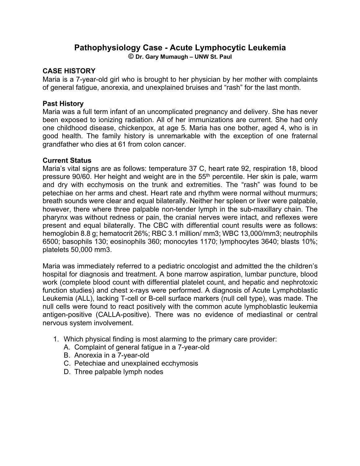## **Pathophysiology Case - Acute Lymphocytic Leukemia**

**© Dr. Gary Mumaugh – UNW St. Paul**

## **CASE HISTORY**

Maria is a 7-year-old girl who is brought to her physician by her mother with complaints of general fatigue, anorexia, and unexplained bruises and "rash" for the last month.

## **Past History**

Maria was a full term infant of an uncomplicated pregnancy and delivery. She has never been exposed to ionizing radiation. All of her immunizations are current. She had only one childhood disease, chickenpox, at age 5. Maria has one bother, aged 4, who is in good health. The family history is unremarkable with the exception of one fraternal grandfather who dies at 61 from colon cancer.

## **Current Status**

Maria's vital signs are as follows: temperature 37 C, heart rate 92, respiration 18, blood pressure 90/60. Her height and weight are in the 55<sup>th</sup> percentile. Her skin is pale, warm and dry with ecchymosis on the trunk and extremities. The "rash" was found to be petechiae on her arms and chest. Heart rate and rhythm were normal without murmurs; breath sounds were clear and equal bilaterally. Neither her spleen or liver were palpable, however, there where three palpable non-tender lymph in the sub-maxillary chain. The pharynx was without redness or pain, the cranial nerves were intact, and reflexes were present and equal bilaterally. The CBC with differential count results were as follows: hemoglobin 8.8 g; hematocrit 26%; RBC 3.1 million/ mm3; WBC 13,000/mm3; neutrophils 6500; basophils 130; eosinophils 360; monocytes 1170; lymphocytes 3640; blasts 10%; platelets 50,000 mm3.

Maria was immediately referred to a pediatric oncologist and admitted the the children's hospital for diagnosis and treatment. A bone marrow aspiration, lumbar puncture, blood work (complete blood count with differential platelet count, and hepatic and nephrotoxic function studies) and chest x-rays were performed. A diagnosis of Acute Lymphoblastic Leukemia (ALL), lacking T-cell or B-cell surface markers (null cell type), was made. The null cells were found to react positively with the common acute lymphoblastic leukemia antigen-positive (CALLA-positive). There was no evidence of mediastinal or central nervous system involvement.

- 1. Which physical finding is most alarming to the primary care provider:
	- A. Complaint of general fatigue in a 7-year-old
	- B. Anorexia in a 7-year-old
	- C. Petechiae and unexplained ecchymosis
	- D. Three palpable lymph nodes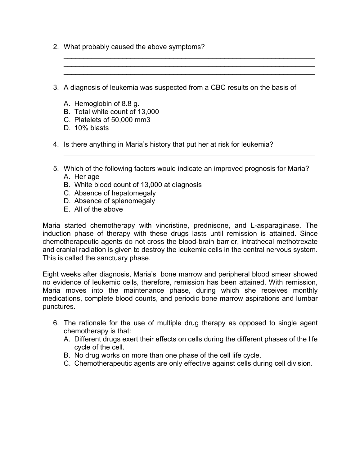- 2. What probably caused the above symptoms?
- 3. A diagnosis of leukemia was suspected from a CBC results on the basis of

 $\mathcal{L}_\text{max} = \frac{1}{2} \sum_{i=1}^{n} \frac{1}{2} \sum_{i=1}^{n} \frac{1}{2} \sum_{i=1}^{n} \frac{1}{2} \sum_{i=1}^{n} \frac{1}{2} \sum_{i=1}^{n} \frac{1}{2} \sum_{i=1}^{n} \frac{1}{2} \sum_{i=1}^{n} \frac{1}{2} \sum_{i=1}^{n} \frac{1}{2} \sum_{i=1}^{n} \frac{1}{2} \sum_{i=1}^{n} \frac{1}{2} \sum_{i=1}^{n} \frac{1}{2} \sum_{i=1}^{n} \frac{1$ \_\_\_\_\_\_\_\_\_\_\_\_\_\_\_\_\_\_\_\_\_\_\_\_\_\_\_\_\_\_\_\_\_\_\_\_\_\_\_\_\_\_\_\_\_\_\_\_\_\_\_\_\_\_\_\_\_\_\_\_\_\_\_\_ \_\_\_\_\_\_\_\_\_\_\_\_\_\_\_\_\_\_\_\_\_\_\_\_\_\_\_\_\_\_\_\_\_\_\_\_\_\_\_\_\_\_\_\_\_\_\_\_\_\_\_\_\_\_\_\_\_\_\_\_\_\_\_\_

- A. Hemoglobin of 8.8 g.
- B. Total white count of 13,000
- C. Platelets of 50,000 mm3
- D. 10% blasts
- 4. Is there anything in Maria's history that put her at risk for leukemia?
- 5. Which of the following factors would indicate an improved prognosis for Maria? A. Her age

\_\_\_\_\_\_\_\_\_\_\_\_\_\_\_\_\_\_\_\_\_\_\_\_\_\_\_\_\_\_\_\_\_\_\_\_\_\_\_\_\_\_\_\_\_\_\_\_\_\_\_\_\_\_\_\_\_\_\_\_\_\_\_\_

- B. White blood count of 13,000 at diagnosis
- C. Absence of hepatomegaly
- D. Absence of splenomegaly
- E. All of the above

Maria started chemotherapy with vincristine, prednisone, and L-asparaginase. The induction phase of therapy with these drugs lasts until remission is attained. Since chemotherapeutic agents do not cross the blood-brain barrier, intrathecal methotrexate and cranial radiation is given to destroy the leukemic cells in the central nervous system. This is called the sanctuary phase.

Eight weeks after diagnosis, Maria's bone marrow and peripheral blood smear showed no evidence of leukemic cells, therefore, remission has been attained. With remission, Maria moves into the maintenance phase, during which she receives monthly medications, complete blood counts, and periodic bone marrow aspirations and lumbar punctures.

- 6. The rationale for the use of multiple drug therapy as opposed to single agent chemotherapy is that:
	- A. Different drugs exert their effects on cells during the different phases of the life cycle of the cell.
	- B. No drug works on more than one phase of the cell life cycle.
	- C. Chemotherapeutic agents are only effective against cells during cell division.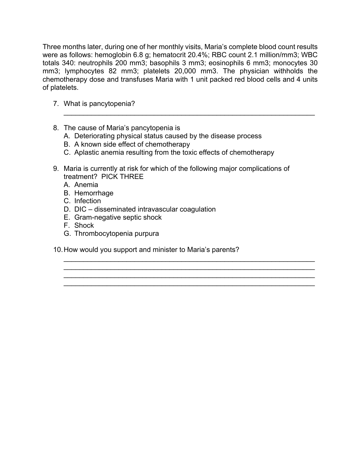Three months later, during one of her monthly visits, Maria's complete blood count results were as follows: hemoglobin 6.8 g; hematocrit 20.4%; RBC count 2.1 million/mm3; WBC totals 340: neutrophils 200 mm3; basophils 3 mm3; eosinophils 6 mm3; monocytes 30 mm3; lymphocytes 82 mm3; platelets 20,000 mm3. The physician withholds the chemotherapy dose and transfuses Maria with 1 unit packed red blood cells and 4 units of platelets.

 $\mathcal{L}_\text{max} = \frac{1}{2} \sum_{i=1}^{n} \frac{1}{2} \sum_{i=1}^{n} \frac{1}{2} \sum_{i=1}^{n} \frac{1}{2} \sum_{i=1}^{n} \frac{1}{2} \sum_{i=1}^{n} \frac{1}{2} \sum_{i=1}^{n} \frac{1}{2} \sum_{i=1}^{n} \frac{1}{2} \sum_{i=1}^{n} \frac{1}{2} \sum_{i=1}^{n} \frac{1}{2} \sum_{i=1}^{n} \frac{1}{2} \sum_{i=1}^{n} \frac{1}{2} \sum_{i=1}^{n} \frac{1$ 

\_\_\_\_\_\_\_\_\_\_\_\_\_\_\_\_\_\_\_\_\_\_\_\_\_\_\_\_\_\_\_\_\_\_\_\_\_\_\_\_\_\_\_\_\_\_\_\_\_\_\_\_\_\_\_\_\_\_\_\_\_\_\_\_  $\mathcal{L}_\text{max} = \mathcal{L}_\text{max} = \mathcal{L}_\text{max} = \mathcal{L}_\text{max} = \mathcal{L}_\text{max} = \mathcal{L}_\text{max} = \mathcal{L}_\text{max} = \mathcal{L}_\text{max} = \mathcal{L}_\text{max} = \mathcal{L}_\text{max} = \mathcal{L}_\text{max} = \mathcal{L}_\text{max} = \mathcal{L}_\text{max} = \mathcal{L}_\text{max} = \mathcal{L}_\text{max} = \mathcal{L}_\text{max} = \mathcal{L}_\text{max} = \mathcal{L}_\text{max} = \mathcal{$  $\mathcal{L}_\text{max} = \frac{1}{2} \sum_{i=1}^{n} \frac{1}{2} \sum_{i=1}^{n} \frac{1}{2} \sum_{i=1}^{n} \frac{1}{2} \sum_{i=1}^{n} \frac{1}{2} \sum_{i=1}^{n} \frac{1}{2} \sum_{i=1}^{n} \frac{1}{2} \sum_{i=1}^{n} \frac{1}{2} \sum_{i=1}^{n} \frac{1}{2} \sum_{i=1}^{n} \frac{1}{2} \sum_{i=1}^{n} \frac{1}{2} \sum_{i=1}^{n} \frac{1}{2} \sum_{i=1}^{n} \frac{1$ \_\_\_\_\_\_\_\_\_\_\_\_\_\_\_\_\_\_\_\_\_\_\_\_\_\_\_\_\_\_\_\_\_\_\_\_\_\_\_\_\_\_\_\_\_\_\_\_\_\_\_\_\_\_\_\_\_\_\_\_\_\_\_\_

- 7. What is pancytopenia?
- 8. The cause of Maria's pancytopenia is
	- A. Deteriorating physical status caused by the disease process
	- B. A known side effect of chemotherapy
	- C. Aplastic anemia resulting from the toxic effects of chemotherapy
- 9. Maria is currently at risk for which of the following major complications of treatment? PICK THREE
	- A. Anemia
	- B. Hemorrhage
	- C. Infection
	- D. DIC disseminated intravascular coagulation
	- E. Gram-negative septic shock
	- F. Shock
	- G. Thrombocytopenia purpura
- 10.How would you support and minister to Maria's parents?